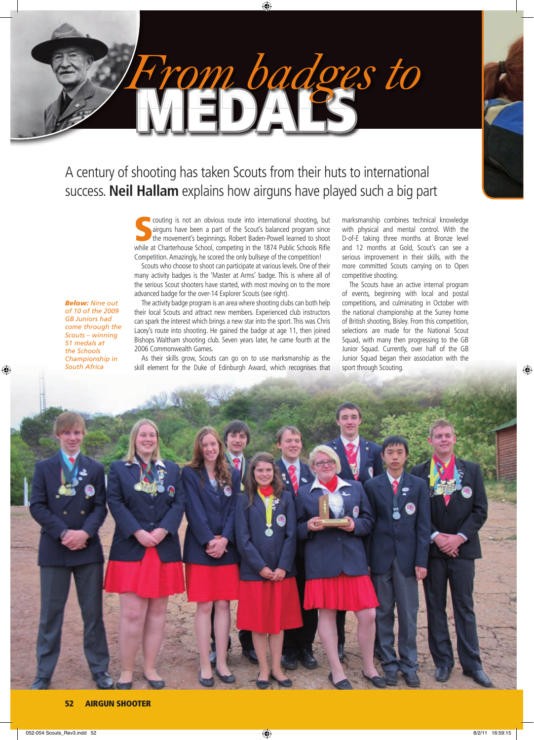

⊕

A century of shooting has taken Scouts from their huts to international success. **Neil Hallam** explains how airguns have played such a big part

MEDALS

*From badges to*

 $\bigoplus$ 

couting is not an obvious route into international shooting, but airguns have been a part of the Scout's balanced program since the movement's beginnings. Robert Baden-Powell learned to shoot while at Charterhouse School, couting is not an obvious route into international shooting, but airguns have been a part of the Scout's balanced program since the movement's beginnings. Robert Baden-Powell learned to shoot Competition. Amazingly, he scored the only bullseye of the competition!

Scouts who choose to shoot can participate at various levels. One of their many activity badges is the 'Master at Arms' badge. This is where all of the serious Scout shooters have started, with most moving on to the more advanced badge for the over-14 Explorer Scouts (see right).

*Below: Nine out of 10 of the 2009 GB Juniors had come through the Scouts – winning 51 medals at the Schools Championship in South Africa*

⊕

The activity badge program is an area where shooting clubs can both help their local Scouts and attract new members. Experienced club instructors can spark the interest which brings a new star into the sport. This was Chris Lacey's route into shooting. He gained the badge at age 11, then joined Bishops Waltham shooting club. Seven years later, he came fourth at the 2006 Commonwealth Games.

As their skills grow, Scouts can go on to use marksmanship as the skill element for the Duke of Edinburgh Award, which recognises that marksmanship combines technical knowledge with physical and mental control. With the D-of-E taking three months at Bronze level and 12 months at Gold, Scout's can see a serious improvement in their skills, with the more committed Scouts carrying on to Open competitive shooting.

The Scouts have an active internal program of events, beginning with local and postal competitions, and culminating in October with the national championship at the Surrey home of British shooting, Bisley. From this competition, selections are made for the National Scout Squad, with many then progressing to the GB Junior Squad. Currently, over half of the GB Junior Squad began their association with the sport through Scouting.



### 52 AIRGUN SHOOTER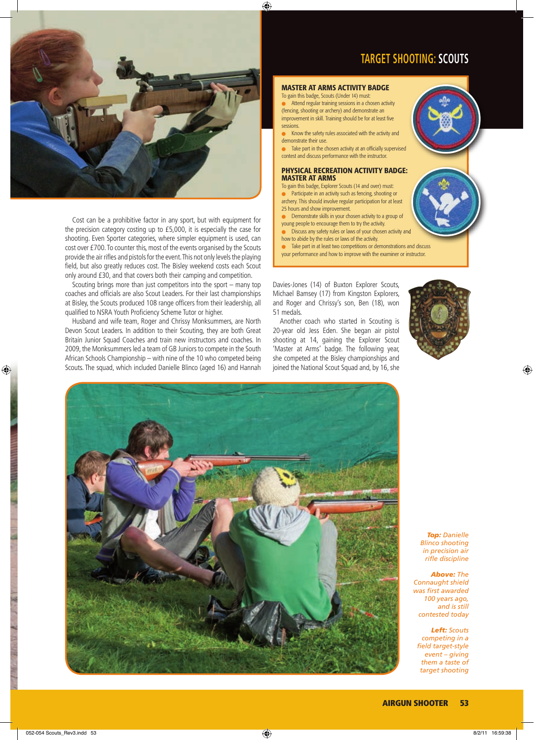



Cost can be a prohibitive factor in any sport, but with equipment for the precision category costing up to £5,000, it is especially the case for shooting. Even Sporter categories, where simpler equipment is used, can cost over £700. To counter this, most of the events organised by the Scouts provide the air rifles and pistols for the event. This not only levels the playing field, but also greatly reduces cost. The Bisley weekend costs each Scout only around £30, and that covers both their camping and competition.

Scouting brings more than just competitors into the sport – many top coaches and officials are also Scout Leaders. For their last championships at Bisley, the Scouts produced 108 range officers from their leadership, all qualified to NSRA Youth Proficiency Scheme Tutor or higher.

Husband and wife team, Roger and Chrissy Monksummers, are North Devon Scout Leaders. In addition to their Scouting, they are both Great Britain Junior Squad Coaches and train new instructors and coaches. In 2009, the Monksummers led a team of GB Juniors to compete in the South African Schools Championship – with nine of the 10 who competed being Scouts. The squad, which included Danielle Blinco (aged 16) and Hannah

## MASTER AT ARMS ACTIVITY BADGE

To gain this badge, Scouts (Under 14) must: Attend regular training sessions in a chosen activity (fencing, shooting or archery) and demonstrate an improvement in skill. Training should be for at least five sessions.

- Know the safety rules associated with the activity and demonstrate their use.
- Take part in the chosen activity at an officially supervised contest and discuss performance with the instructor.

#### PHYSICAL RECREATION ACTIVITY BADGE: MASTER AT ARMS

- To gain this badge, Explorer Scouts (14 and over) must:
- Participate in an activity such as fencing, shooting or archery. This should involve regular participation for at least 25 hours and show improvement.
- Demonstrate skills in your chosen activity to a group of
- young people to encourage them to try the activity. Discuss any safety rules or laws of your chosen activity and
- how to abide by the rules or laws of the activity.
- Take part in at least two competitions or demonstrations and discuss your performance and how to improve with the examiner or instructor.

Davies-Jones (14) of Buxton Explorer Scouts, Michael Bamsey (17) from Kingston Explorers, and Roger and Chrissy's son, Ben (18), won 51 medals.

Another coach who started in Scouting is 20-year old Jess Eden. She began air pistol shooting at 14, gaining the Explorer Scout 'Master at Arms' badge. The following year, she competed at the Bisley championships and joined the National Scout Squad and, by 16, she



 $\bigoplus$ 



*Top: Danielle Blinco shooting in precision air rifl e discipline*

*Above: The Connaught shield was fi rst awarded 100 years ago, and is still contested today*

*Left: Scouts competing in a fi eld target-style event – giving them a taste of target shooting* 

 $\bigoplus$